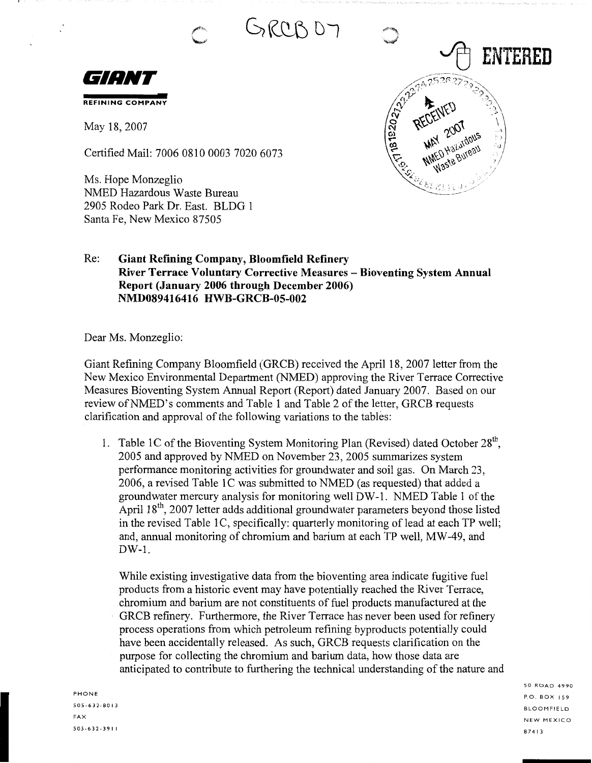GRCB D7

**CONSTRUCTION RECEIVER** 

MAY 200 database



May 18, 2007

Certified Mail: 7006 0810 0003 7020 6073

Ms. Hope Monzeglio NMED Hazardous Waste Bureau 2905 Rodeo Park Dr. East. BLDG 1 Santa Fe, New Mexico 87505

## Re: **Giant Refining Company, Bloomfield Refinery River Terrace Voluntary Corrective Measures - Bioventing System Annual Report (January 2006 through December 2006) NMD089416416 HWB-GRCB-05-002**

Dear Ms. Monzeglio:

Giant Refining Company Bloomfield (GRCB) received the April 18, 2007 letter from the New Mexico Environmental Department (NMED) approving the River Terrace Corrective Measures Bioventing System Annual Report (Report) dated January 2007. Based on our review of NMED's comments and Table 1 and Table 2 of the letter, GRCB requests clarification and approval of the following variations to the tables:

1. Table 1C of the Bioventing System Monitoring Plan (Revised) dated October  $28<sup>th</sup>$ , 2005 and approved by NMED on November 23, 2005 summarizes system performance monitoring activities for groundwater and soil gas. On March 23, 2006, a revised Table 1C was submitted to NMED (as requested) that added a groundwater mercury analysis for monitoring well DW-1. NMED Table 1 of the April  $18<sup>th</sup>$ , 2007 letter adds additional groundwater parameters beyond those listed in the revised Table 1C, specifically: quarterly monitoring of lead at each TP well; and, annual monitoring of chromium and barium at each TP well, MW-49, and DW-1.

While existing investigative data from the bioventing area indicate fugitive fuel products from a historic event may have potentially reached the River Terrace, chromium and barium are not constituents of fuel products manufactured at the GRCB refinery. Furthermore, the River Terrace has never been used for refinery process operations from which petroleum refining byproducts potentially could have been accidentally released. As such, GRCB requests clarification on the purpose for collecting the chromium and barium data, how those data are anticipated to contribute to furthering the technical understanding of the nature and

PHONE 505-632-80 I 3 FAX 505-632-391 I SO ROAD 4990 P.O. BOX I 59 BLOOMFIELD NEW MEXICO 8 7 4 I 3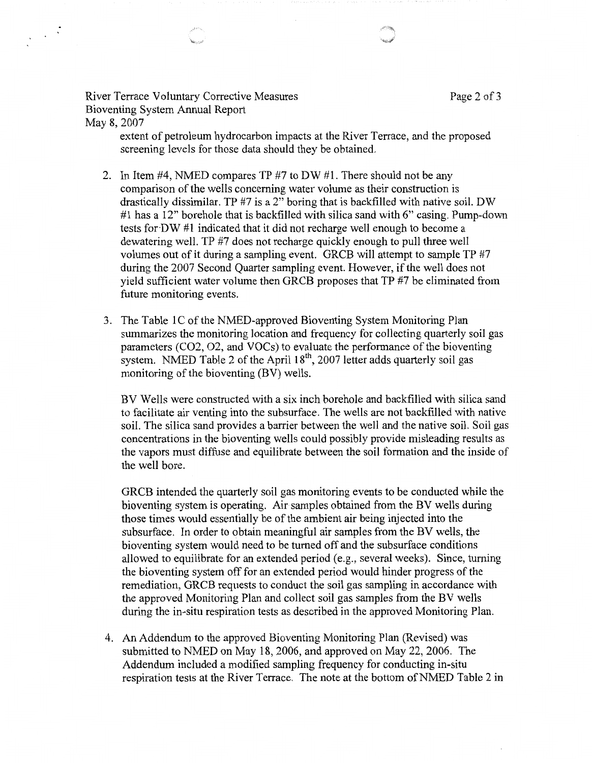River Terrace Voluntary Corrective Measures **Page 2** of 3 Bioventing System Annual Report May 8, 2007

 $\frac{1}{2}$ 

extent of petroleum hydrocarbon impacts at the River Terrace, and the proposed screening levels for those data should they be obtained.

- 2. In Item #4, NMED compares TP #7 to DW #1. There should not be any comparison of the wells concerning water volume as their construction is drastically dissimilar. TP #7 is a 2" boring that is backfilled with native soil. DW #1 has a 12" borehole that is backfilled with silica sand with 6" casing. Pump-down tests for-DW #1 indicated that it did not recharge well enough to become a dewatering well. TP #7 does not recharge quickly enough to pull three well volumes out of it during a sampling event. GRCB will attempt to sample TP #7 during the 2007 Second Quarter sampling event. However, if the well does not yield sufficient water volume then GRCB proposes that TP #7 be eliminated from future monitoring events.
- 3. The Table IC of the NMED-approved Bioventing System Monitoring Plan summarizes the monitoring location and frequency for collecting quarterly soil gas parameters (CO2, 02, and VOCs) to evaluate the performance of the bioventing system. NMED Table 2 of the April 18<sup>th</sup>, 2007 letter adds quarterly soil gas monitoring of the bioventing (BV) wells.

BV Wells were constructed with a six inch borehole and backfilled with silica sand to facilitate air venting into the subsurface. The wells are not backfilled with native soil. The silica sand provides a barrier between the well and the native soil. Soil gas concentrations in the bioventing wells could possibly provide misleading results as the vapors must diffuse and equilibrate between the soil formation and the inside of the well bore.

GRCB intended the quarterly soil gas monitoring events to be conducted while the bioventing system is operating. Air samples obtained from the BV wells during those times would essentially be of the ambient air being injected into the subsurface. In order to obtain meaningful air samples from the BV wells, the bioventing system would need to be turned off and the subsurface conditions allowed to equilibrate for an extended period (e.g., several weeks). Since, turning the bioventing system off for an extended period would hinder progress of the remediation, GRCB requests to conduct the soil gas sampling in accordance with the approved Monitoring Plan and collect soil gas samples from the BV wells during the in-situ respiration tests as described in the approved Monitoring Plan.

4. An Addendum to the approved Bioventing Monitoring Plan (Revised) was submitted to NMED on May 18, 2006, and approved on May 22, 2006. The Addendum included a modified sampling frequency for conducting in-situ respiration tests at the River Terrace. The note at the bottom of NMED Table 2 in